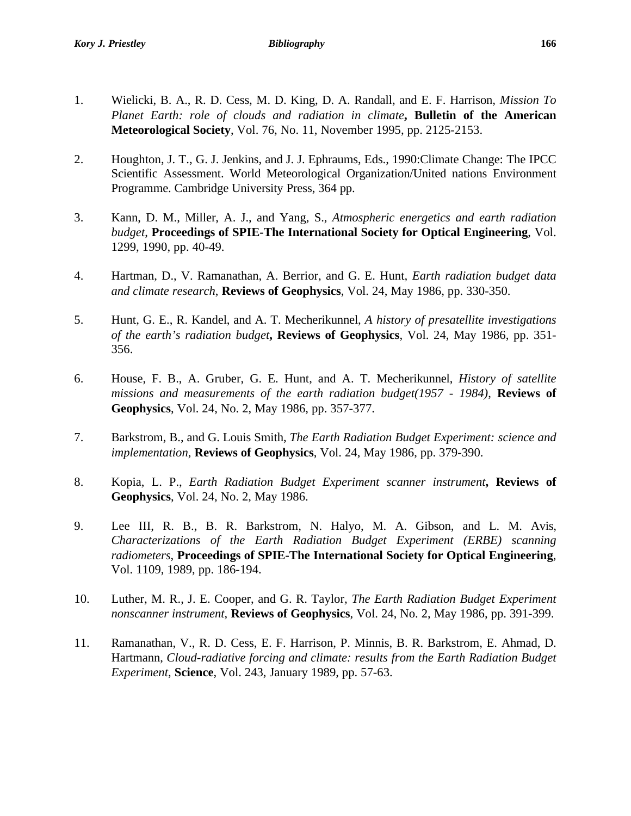- 
- 1. Wielicki, B. A., R. D. Cess, M. D. King, D. A. Randall, and E. F. Harrison*, Mission To Planet Earth: role of clouds and radiation in climate***, Bulletin of the American Meteorological Society**, Vol. 76, No. 11, November 1995, pp. 2125-2153.
- 2. Houghton, J. T., G. J. Jenkins, and J. J. Ephraums, Eds., 1990:Climate Change: The IPCC Scientific Assessment. World Meteorological Organization/United nations Environment Programme. Cambridge University Press, 364 pp.
- 3. Kann, D. M., Miller, A. J., and Yang, S., *Atmospheric energetics and earth radiation budget*, **Proceedings of SPIE-The International Society for Optical Engineering**, Vol. 1299, 1990, pp. 40-49.
- 4. Hartman, D., V. Ramanathan, A. Berrior, and G. E. Hunt*, Earth radiation budget data and climate research*, **Reviews of Geophysics**, Vol. 24, May 1986, pp. 330-350.
- 5. Hunt, G. E., R. Kandel, and A. T. Mecherikunnel, *A history of presatellite investigations of the earth's radiation budget***, Reviews of Geophysics**, Vol. 24, May 1986, pp. 351- 356.
- 6. House, F. B., A. Gruber, G. E. Hunt, and A. T. Mecherikunnel, *History of satellite missions and measurements of the earth radiation budget(1957 - 1984)*, **Reviews of Geophysics**, Vol. 24, No. 2, May 1986, pp. 357-377.
- 7. Barkstrom, B., and G. Louis Smith, *The Earth Radiation Budget Experiment: science and implementation*, **Reviews of Geophysics**, Vol. 24, May 1986, pp. 379-390.
- 8. Kopia, L. P., *Earth Radiation Budget Experiment scanner instrument***, Reviews of Geophysics**, Vol. 24, No. 2, May 1986.
- 9. Lee III, R. B., B. R. Barkstrom, N. Halyo, M. A. Gibson, and L. M. Avis, *Characterizations of the Earth Radiation Budget Experiment (ERBE) scanning radiometers*, **Proceedings of SPIE-The International Society for Optical Engineering**, Vol. 1109, 1989, pp. 186-194.
- 10. Luther, M. R., J. E. Cooper, and G. R. Taylor*, The Earth Radiation Budget Experiment nonscanner instrument*, **Reviews of Geophysics**, Vol. 24, No. 2, May 1986, pp. 391-399.
- 11. Ramanathan, V., R. D. Cess, E. F. Harrison, P. Minnis, B. R. Barkstrom, E. Ahmad, D. Hartmann, *Cloud-radiative forcing and climate: results from the Earth Radiation Budget Experiment*, **Science**, Vol. 243, January 1989, pp. 57-63.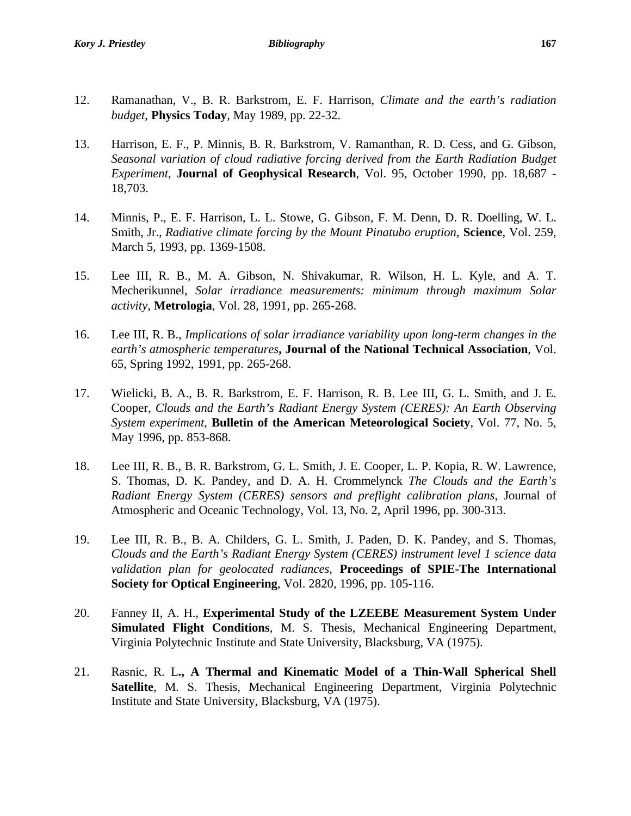- 12. Ramanathan, V., B. R. Barkstrom, E. F. Harrison, *Climate and the earth's radiation budget*, **Physics Today**, May 1989, pp. 22-32.
- 13. Harrison, E. F., P. Minnis, B. R. Barkstrom, V. Ramanthan, R. D. Cess, and G. Gibson, *Seasonal variation of cloud radiative forcing derived from the Earth Radiation Budget Experiment*, **Journal of Geophysical Research**, Vol. 95, October 1990, pp. 18,687 - 18,703.
- 14. Minnis, P., E. F. Harrison, L. L. Stowe, G. Gibson, F. M. Denn, D. R. Doelling, W. L. Smith, Jr., *Radiative climate forcing by the Mount Pinatubo eruption*, **Science**, Vol. 259, March 5, 1993, pp. 1369-1508.
- 15. Lee III, R. B., M. A. Gibson, N. Shivakumar, R. Wilson, H. L. Kyle, and A. T. Mecherikunnel, *Solar irradiance measurements: minimum through maximum Solar activity*, **Metrologia**, Vol. 28, 1991, pp. 265-268.
- 16. Lee III, R. B., *Implications of solar irradiance variability upon long-term changes in the earth's atmospheric temperatures***, Journal of the National Technical Association**, Vol. 65, Spring 1992, 1991, pp. 265-268.
- 17. Wielicki, B. A., B. R. Barkstrom, E. F. Harrison, R. B. Lee III, G. L. Smith, and J. E. Cooper, *Clouds and the Earth's Radiant Energy System (CERES): An Earth Observing System experiment*, **Bulletin of the American Meteorological Society**, Vol. 77, No. 5, May 1996, pp. 853-868.
- 18. Lee III, R. B., B. R. Barkstrom, G. L. Smith, J. E. Cooper, L. P. Kopia, R. W. Lawrence, S. Thomas, D. K. Pandey, and D. A. H. Crommelynck *The Clouds and the Earth's Radiant Energy System (CERES) sensors and preflight calibration plans*, Journal of Atmospheric and Oceanic Technology, Vol. 13, No. 2, April 1996, pp. 300-313.
- 19. Lee III, R. B., B. A. Childers, G. L. Smith, J. Paden, D. K. Pandey, and S. Thomas, *Clouds and the Earth's Radiant Energy System (CERES) instrument level 1 science data validation plan for geolocated radiances*, **Proceedings of SPIE-The International Society for Optical Engineering**, Vol. 2820, 1996, pp. 105-116.
- 20. Fanney II, A. H., **Experimental Study of the LZEEBE Measurement System Under Simulated Flight Conditions**, M. S. Thesis, Mechanical Engineering Department, Virginia Polytechnic Institute and State University, Blacksburg, VA (1975).
- 21. Rasnic, R. L**., A Thermal and Kinematic Model of a Thin-Wall Spherical Shell Satellite**, M. S. Thesis, Mechanical Engineering Department, Virginia Polytechnic Institute and State University, Blacksburg, VA (1975).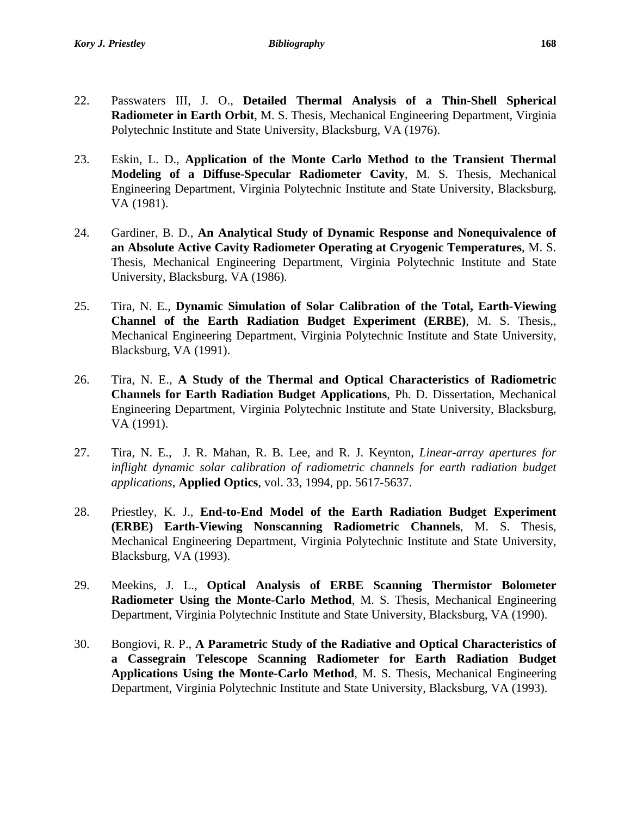- 22. Passwaters III, J. O., **Detailed Thermal Analysis of a Thin-Shell Spherical Radiometer in Earth Orbit**, M. S. Thesis, Mechanical Engineering Department, Virginia Polytechnic Institute and State University, Blacksburg, VA (1976).
- 23. Eskin, L. D., **Application of the Monte Carlo Method to the Transient Thermal Modeling of a Diffuse-Specular Radiometer Cavity**, M. S. Thesis, Mechanical Engineering Department, Virginia Polytechnic Institute and State University, Blacksburg, VA (1981).
- 24. Gardiner, B. D., **An Analytical Study of Dynamic Response and Nonequivalence of an Absolute Active Cavity Radiometer Operating at Cryogenic Temperatures**, M. S. Thesis, Mechanical Engineering Department, Virginia Polytechnic Institute and State University, Blacksburg, VA (1986).
- 25. Tira, N. E., **Dynamic Simulation of Solar Calibration of the Total, Earth-Viewing Channel of the Earth Radiation Budget Experiment (ERBE)**, M. S. Thesis,, Mechanical Engineering Department, Virginia Polytechnic Institute and State University, Blacksburg, VA (1991).
- 26. Tira, N. E., **A Study of the Thermal and Optical Characteristics of Radiometric Channels for Earth Radiation Budget Applications**, Ph. D. Dissertation, Mechanical Engineering Department, Virginia Polytechnic Institute and State University, Blacksburg, VA (1991).
- 27. Tira, N. E., J. R. Mahan, R. B. Lee, and R. J. Keynton, *Linear-array apertures for inflight dynamic solar calibration of radiometric channels for earth radiation budget applications*, **Applied Optics**, vol. 33, 1994, pp. 5617-5637.
- 28. Priestley, K. J., **End-to-End Model of the Earth Radiation Budget Experiment (ERBE) Earth-Viewing Nonscanning Radiometric Channels**, M. S. Thesis, Mechanical Engineering Department, Virginia Polytechnic Institute and State University, Blacksburg, VA (1993).
- 29. Meekins, J. L., **Optical Analysis of ERBE Scanning Thermistor Bolometer Radiometer Using the Monte-Carlo Method**, M. S. Thesis, Mechanical Engineering Department, Virginia Polytechnic Institute and State University, Blacksburg, VA (1990).
- 30. Bongiovi, R. P., **A Parametric Study of the Radiative and Optical Characteristics of a Cassegrain Telescope Scanning Radiometer for Earth Radiation Budget Applications Using the Monte-Carlo Method**, M. S. Thesis, Mechanical Engineering Department, Virginia Polytechnic Institute and State University, Blacksburg, VA (1993).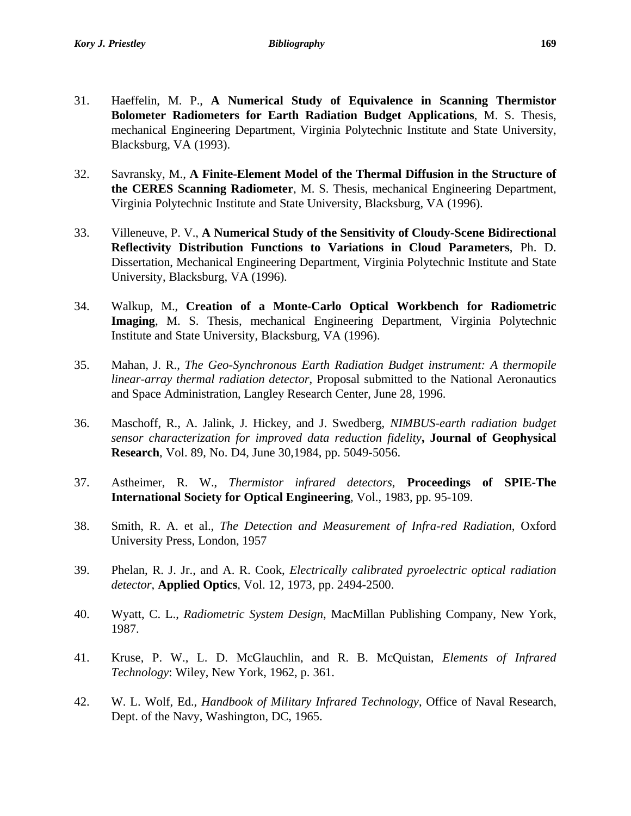- 32. Savransky, M., **A Finite-Element Model of the Thermal Diffusion in the Structure of the CERES Scanning Radiometer**, M. S. Thesis, mechanical Engineering Department, Virginia Polytechnic Institute and State University, Blacksburg, VA (1996).
- 33. Villeneuve, P. V., **A Numerical Study of the Sensitivity of Cloudy-Scene Bidirectional Reflectivity Distribution Functions to Variations in Cloud Parameters**, Ph. D. Dissertation, Mechanical Engineering Department, Virginia Polytechnic Institute and State University, Blacksburg, VA (1996).
- 34. Walkup, M., **Creation of a Monte-Carlo Optical Workbench for Radiometric Imaging**, M. S. Thesis, mechanical Engineering Department, Virginia Polytechnic Institute and State University, Blacksburg, VA (1996).
- 35. Mahan, J. R., *The Geo-Synchronous Earth Radiation Budget instrument: A thermopile linear-array thermal radiation detector*, Proposal submitted to the National Aeronautics and Space Administration, Langley Research Center, June 28, 1996.
- 36. Maschoff, R., A. Jalink, J. Hickey, and J. Swedberg, *NIMBUS-earth radiation budget sensor characterization for improved data reduction fidelity***, Journal of Geophysical Research**, Vol. 89, No. D4, June 30,1984, pp. 5049-5056.
- 37. Astheimer, R. W., *Thermistor infrared detectors*, **Proceedings of SPIE-The International Society for Optical Engineering**, Vol., 1983, pp. 95-109.
- 38. Smith, R. A. et al., *The Detection and Measurement of Infra-red Radiation*, Oxford University Press, London, 1957
- 39. Phelan, R. J. Jr., and A. R. Cook, *Electrically calibrated pyroelectric optical radiation detector*, **Applied Optics**, Vol. 12, 1973, pp. 2494-2500.
- 40. Wyatt, C. L., *Radiometric System Design*, MacMillan Publishing Company, New York, 1987.
- 41. Kruse, P. W., L. D. McGlauchlin, and R. B. McQuistan*, Elements of Infrared Technology*: Wiley, New York, 1962, p. 361.
- 42. W. L. Wolf, Ed., *Handbook of Military Infrared Technology*, Office of Naval Research, Dept. of the Navy, Washington, DC, 1965.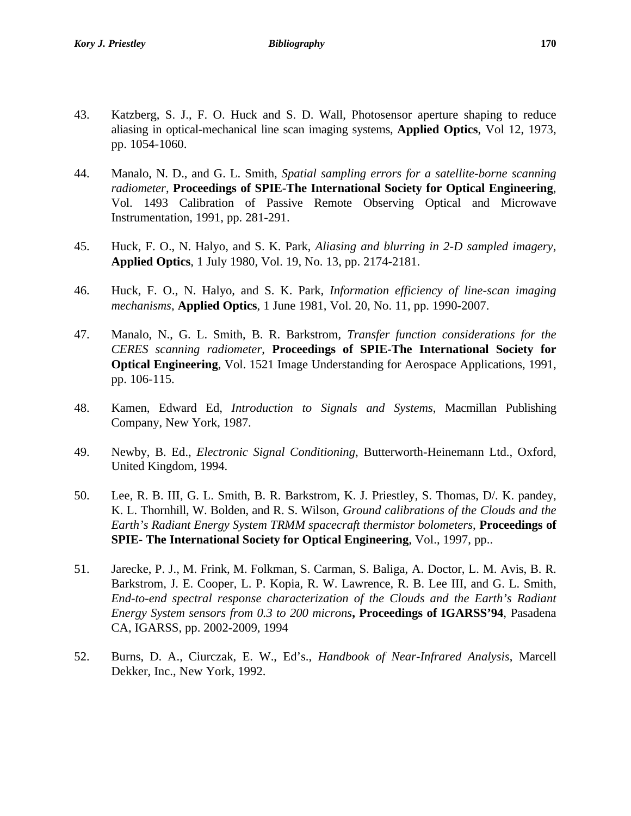- 43. Katzberg, S. J., F. O. Huck and S. D. Wall, Photosensor aperture shaping to reduce aliasing in optical-mechanical line scan imaging systems, **Applied Optics**, Vol 12, 1973, pp. 1054-1060.
- 44. Manalo, N. D., and G. L. Smith, *Spatial sampling errors for a satellite-borne scanning radiometer*, **Proceedings of SPIE-The International Society for Optical Engineering**, Vol. 1493 Calibration of Passive Remote Observing Optical and Microwave Instrumentation, 1991, pp. 281-291.
- 45. Huck, F. O., N. Halyo, and S. K. Park, *Aliasing and blurring in 2-D sampled imagery*, **Applied Optics**, 1 July 1980, Vol. 19, No. 13, pp. 2174-2181.
- 46. Huck, F. O., N. Halyo, and S. K. Park*, Information efficiency of line-scan imaging mechanisms*, **Applied Optics**, 1 June 1981, Vol. 20, No. 11, pp. 1990-2007.
- 47. Manalo, N., G. L. Smith, B. R. Barkstrom, *Transfer function considerations for the CERES scanning radiometer*, **Proceedings of SPIE-The International Society for Optical Engineering**, Vol. 1521 Image Understanding for Aerospace Applications, 1991, pp. 106-115.
- 48. Kamen, Edward Ed, *Introduction to Signals and Systems*, Macmillan Publishing Company, New York, 1987.
- 49. Newby, B. Ed., *Electronic Signal Conditioning*, Butterworth-Heinemann Ltd., Oxford, United Kingdom, 1994.
- 50. Lee, R. B. III, G. L. Smith, B. R. Barkstrom, K. J. Priestley, S. Thomas, D/. K. pandey, K. L. Thornhill, W. Bolden, and R. S. Wilson, *Ground calibrations of the Clouds and the Earth's Radiant Energy System TRMM spacecraft thermistor bolometers*, **Proceedings of SPIE- The International Society for Optical Engineering**, Vol., 1997, pp..
- 51. Jarecke, P. J., M. Frink, M. Folkman, S. Carman, S. Baliga, A. Doctor, L. M. Avis, B. R. Barkstrom, J. E. Cooper, L. P. Kopia, R. W. Lawrence, R. B. Lee III, and G. L. Smith, *End-to-end spectral response characterization of the Clouds and the Earth's Radiant Energy System sensors from 0.3 to 200 microns***, Proceedings of IGARSS'94**, Pasadena CA, IGARSS, pp. 2002-2009, 1994
- 52. Burns, D. A., Ciurczak, E. W., Ed's., *Handbook of Near-Infrared Analysis*, Marcell Dekker, Inc., New York, 1992.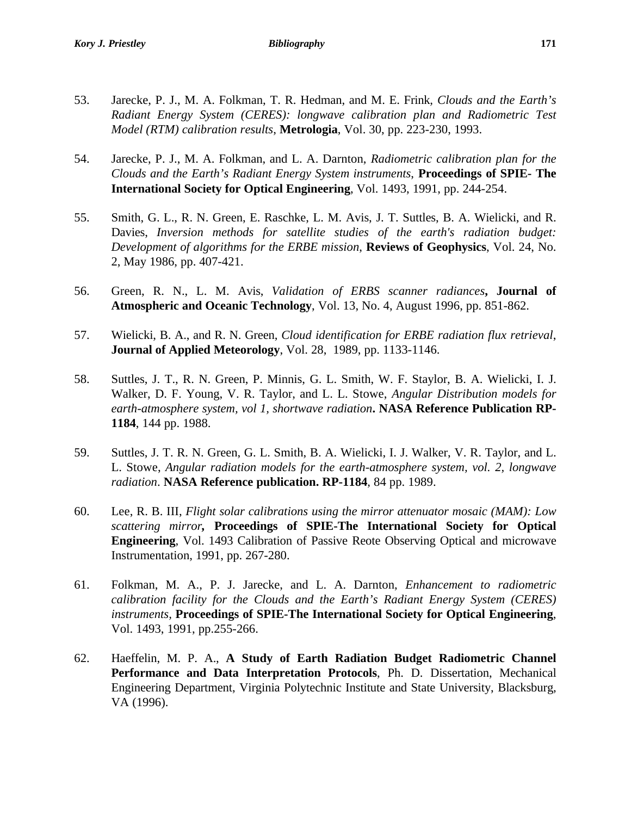- 53. Jarecke, P. J., M. A. Folkman, T. R. Hedman, and M. E. Frink*, Clouds and the Earth's Radiant Energy System (CERES): longwave calibration plan and Radiometric Test Model (RTM) calibration results*, **Metrologia**, Vol. 30, pp. 223-230, 1993.
- 54. Jarecke, P. J., M. A. Folkman, and L. A. Darnton, *Radiometric calibration plan for the Clouds and the Earth's Radiant Energy System instruments*, **Proceedings of SPIE- The International Society for Optical Engineering**, Vol. 1493, 1991, pp. 244-254.
- 55. Smith, G. L., R. N. Green, E. Raschke, L. M. Avis, J. T. Suttles, B. A. Wielicki, and R. Davies, *Inversion methods for satellite studies of the earth's radiation budget: Development of algorithms for the ERBE mission*, **Reviews of Geophysics**, Vol. 24, No. 2, May 1986, pp. 407-421.
- 56. Green, R. N., L. M. Avis, *Validation of ERBS scanner radiances***, Journal of Atmospheric and Oceanic Technology**, Vol. 13, No. 4, August 1996, pp. 851-862.
- 57. Wielicki, B. A., and R. N. Green, *Cloud identification for ERBE radiation flux retrieval*, **Journal of Applied Meteorology**, Vol. 28, 1989, pp. 1133-1146.
- 58. Suttles, J. T., R. N. Green, P. Minnis, G. L. Smith, W. F. Staylor, B. A. Wielicki, I. J. Walker, D. F. Young, V. R. Taylor, and L. L. Stowe, *Angular Distribution models for earth-atmosphere system, vol 1, shortwave radiation***. NASA Reference Publication RP-1184**, 144 pp. 1988.
- 59. Suttles, J. T. R. N. Green, G. L. Smith, B. A. Wielicki, I. J. Walker, V. R. Taylor, and L. L. Stowe, *Angular radiation models for the earth-atmosphere system, vol. 2, longwave radiation*. **NASA Reference publication. RP-1184**, 84 pp. 1989.
- 60. Lee, R. B. III, *Flight solar calibrations using the mirror attenuator mosaic (MAM): Low scattering mirror,* **Proceedings of SPIE-The International Society for Optical Engineering**, Vol. 1493 Calibration of Passive Reote Observing Optical and microwave Instrumentation, 1991, pp. 267-280.
- 61. Folkman, M. A., P. J. Jarecke, and L. A. Darnton, *Enhancement to radiometric calibration facility for the Clouds and the Earth's Radiant Energy System (CERES) instruments,* **Proceedings of SPIE-The International Society for Optical Engineering**, Vol. 1493, 1991, pp.255-266.
- 62. Haeffelin, M. P. A., **A Study of Earth Radiation Budget Radiometric Channel Performance and Data Interpretation Protocols**, Ph. D. Dissertation, Mechanical Engineering Department, Virginia Polytechnic Institute and State University, Blacksburg, VA (1996).